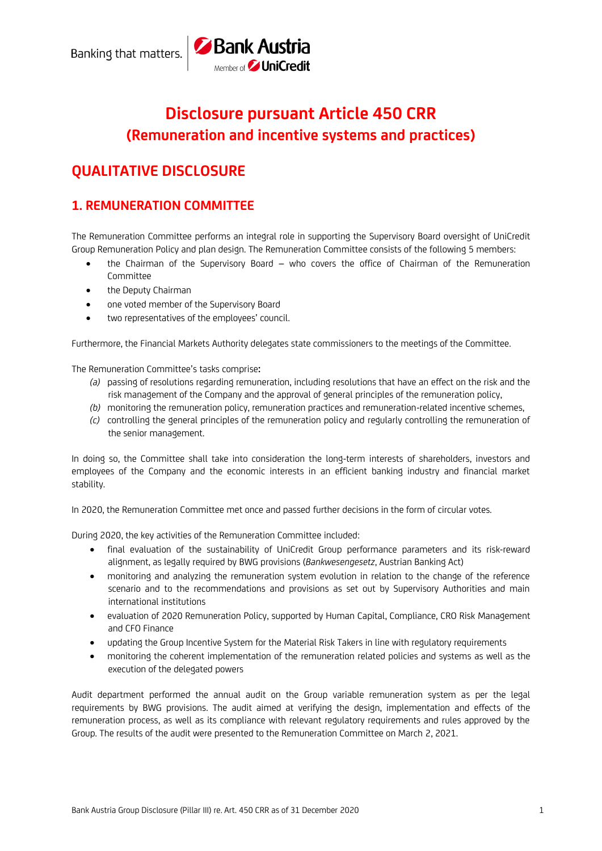# **Disclosure pursuant Article 450 CRR (Remuneration and incentive systems and practices)**

Bank Austria

# **QUALITATIVE DISCLOSURE**

# **1. REMUNERATION COMMITTEE**

The Remuneration Committee performs an integral role in supporting the Supervisory Board oversight of UniCredit Group Remuneration Policy and plan design. The Remuneration Committee consists of the following 5 members:

- the Chairman of the Supervisory Board who covers the office of Chairman of the Remuneration Committee
- the Deputy Chairman
- one voted member of the Supervisory Board
- two representatives of the employees' council.

Furthermore, the Financial Markets Authority delegates state commissioners to the meetings of the Committee.

The Remuneration Committee's tasks comprise**:**

- *(a)* passing of resolutions regarding remuneration, including resolutions that have an effect on the risk and the risk management of the Company and the approval of general principles of the remuneration policy,
- *(b)* monitoring the remuneration policy, remuneration practices and remuneration-related incentive schemes,
- *(c)* controlling the general principles of the remuneration policy and regularly controlling the remuneration of the senior management.

In doing so, the Committee shall take into consideration the long-term interests of shareholders, investors and employees of the Company and the economic interests in an efficient banking industry and financial market stability.

In 2020, the Remuneration Committee met once and passed further decisions in the form of circular votes.

During 2020, the key activities of the Remuneration Committee included:

- final evaluation of the sustainability of UniCredit Group performance parameters and its risk-reward alignment, as legally required by BWG provisions (*Bankwesengesetz*, Austrian Banking Act)
- monitoring and analyzing the remuneration system evolution in relation to the change of the reference scenario and to the recommendations and provisions as set out by Supervisory Authorities and main international institutions
- evaluation of 2020 Remuneration Policy, supported by Human Capital, Compliance, CRO Risk Management and CFO Finance
- updating the Group Incentive System for the Material Risk Takers in line with regulatory requirements
- monitoring the coherent implementation of the remuneration related policies and systems as well as the execution of the delegated powers

Audit department performed the annual audit on the Group variable remuneration system as per the legal requirements by BWG provisions. The audit aimed at verifying the design, implementation and effects of the remuneration process, as well as its compliance with relevant regulatory requirements and rules approved by the Group. The results of the audit were presented to the Remuneration Committee on March 2, 2021.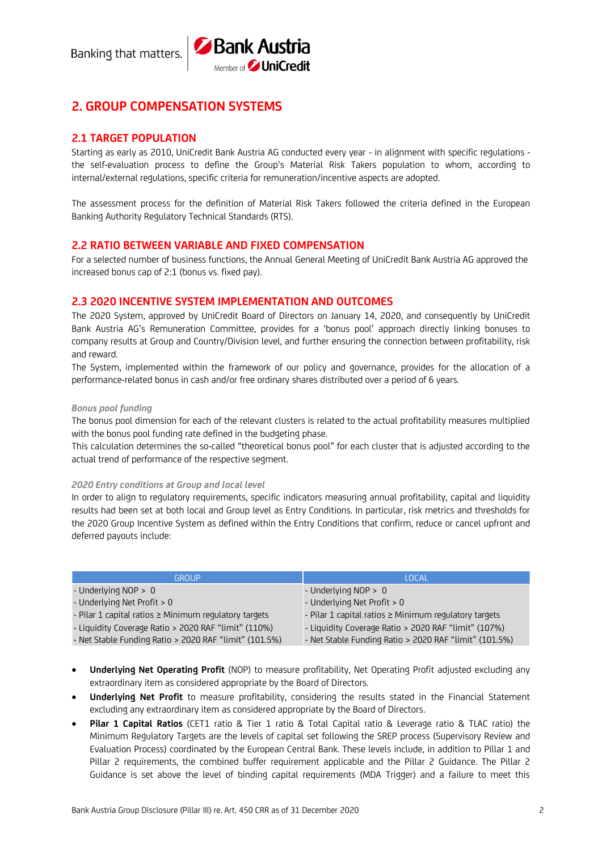

# **2. GROUP COMPENSATION SYSTEMS**

### **2.1 TARGET POPULATION**

Starting as early as 2010, UniCredit Bank Austria AG conducted every year - in alignment with specific regulations the self-evaluation process to define the Group's Material Risk Takers population to whom, according to internal/external regulations, specific criteria for remuneration/incentive aspects are adopted.

The assessment process for the definition of Material Risk Takers followed the criteria defined in the European Banking Authority Regulatory Technical Standards (RTS).

### **2.2 RATIO BETWEEN VARIABLE AND FIXED COMPENSATION**

For a selected number of business functions, the Annual General Meeting of UniCredit Bank Austria AG approved the increased bonus cap of 2:1 (bonus vs. fixed pay).

#### **2.3 2020 INCENTIVE SYSTEM IMPLEMENTATION AND OUTCOMES**

The 2020 System, approved by UniCredit Board of Directors on January 14, 2020, and consequently by UniCredit Bank Austria AG's Remuneration Committee, provides for a 'bonus pool' approach directly linking bonuses to company results at Group and Country/Division level, and further ensuring the connection between profitability, risk and reward.

The System, implemented within the framework of our policy and governance, provides for the allocation of a performance-related bonus in cash and/or free ordinary shares distributed over a period of 6 years.

#### *Bonus pool funding*

The bonus pool dimension for each of the relevant clusters is related to the actual profitability measures multiplied with the bonus pool funding rate defined in the budgeting phase.

This calculation determines the so-called "theoretical bonus pool" for each cluster that is adjusted according to the actual trend of performance of the respective segment.

#### *2020 Entry conditions at Group and local level*

In order to align to regulatory requirements, specific indicators measuring annual profitability, capital and liquidity results had been set at both local and Group level as Entry Conditions. In particular, risk metrics and thresholds for the 2020 Group Incentive System as defined within the Entry Conditions that confirm, reduce or cancel upfront and deferred payouts include:

| <b>GROUP</b>                                               | LOCAL                                                      |
|------------------------------------------------------------|------------------------------------------------------------|
| - Underlying $NOP > 0$                                     | - Underlying $NOP > 0$                                     |
| - Underlying Net Profit > 0                                | - Underlying Net Profit > 0                                |
| - Pilar 1 capital ratios $\geq$ Minimum regulatory targets | - Pilar 1 capital ratios $\geq$ Minimum regulatory targets |
| - Liquidity Coverage Ratio > 2020 RAF "limit" (110%)       | - Liquidity Coverage Ratio > 2020 RAF "limit" (107%)       |
| - Net Stable Funding Ratio > 2020 RAF "limit" (101.5%)     | - Net Stable Funding Ratio > 2020 RAF "limit" (101.5%)     |

- **Underlying Net Operating Profit** (NOP) to measure profitability. Net Operating Profit adjusted excluding any extraordinary item as considered appropriate by the Board of Directors.
- **Underlying Net Profit** to measure profitability, considering the results stated in the Financial Statement excluding any extraordinary item as considered appropriate by the Board of Directors.
- **Pilar 1 Capital Ratios** (CET1 ratio & Tier 1 ratio & Total Capital ratio & Leverage ratio & TLAC ratio) the Minimum Regulatory Targets are the levels of capital set following the SREP process (Supervisory Review and Evaluation Process) coordinated by the European Central Bank. These levels include, in addition to Pillar 1 and Pillar 2 requirements, the combined buffer requirement applicable and the Pillar 2 Guidance. The Pillar 2 Guidance is set above the level of binding capital requirements (MDA Trigger) and a failure to meet this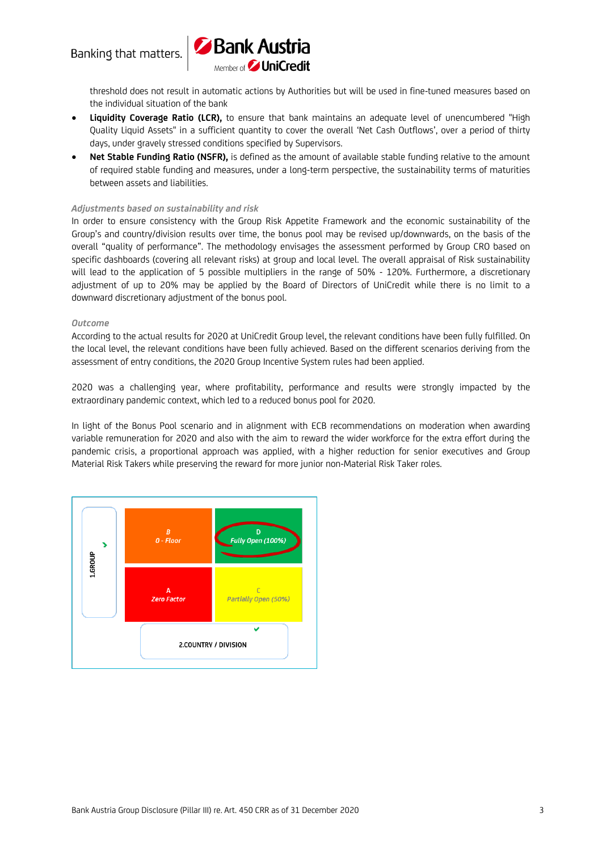

threshold does not result in automatic actions by Authorities but will be used in fine-tuned measures based on the individual situation of the bank

- **Liquidity Coverage Ratio (LCR),** to ensure that bank maintains an adequate level of unencumbered "High Quality Liquid Assets" in a sufficient quantity to cover the overall 'Net Cash Outflows', over a period of thirty days, under gravely stressed conditions specified by Supervisors.
- **Net Stable Funding Ratio (NSFR),** is defined as the amount of available stable funding relative to the amount of required stable funding and measures, under a long-term perspective, the sustainability terms of maturities between assets and liabilities.

#### *Adjustments based on sustainability and risk*

In order to ensure consistency with the Group Risk Appetite Framework and the economic sustainability of the Group's and country/division results over time, the bonus pool may be revised up/downwards, on the basis of the overall "quality of performance". The methodology envisages the assessment performed by Group CRO based on specific dashboards (covering all relevant risks) at group and local level. The overall appraisal of Risk sustainability will lead to the application of 5 possible multipliers in the range of 50% - 120%. Furthermore, a discretionary adjustment of up to 20% may be applied by the Board of Directors of UniCredit while there is no limit to a downward discretionary adjustment of the bonus pool.

#### *Outcome*

According to the actual results for 2020 at UniCredit Group level, the relevant conditions have been fully fulfilled. On the local level, the relevant conditions have been fully achieved. Based on the different scenarios deriving from the assessment of entry conditions, the 2020 Group Incentive System rules had been applied.

2020 was a challenging year, where profitability, performance and results were strongly impacted by the extraordinary pandemic context, which led to a reduced bonus pool for 2020.

In light of the Bonus Pool scenario and in alignment with ECB recommendations on moderation when awarding variable remuneration for 2020 and also with the aim to reward the wider workforce for the extra effort during the pandemic crisis, a proportional approach was applied, with a higher reduction for senior executives and Group Material Risk Takers while preserving the reward for more junior non-Material Risk Taker roles.

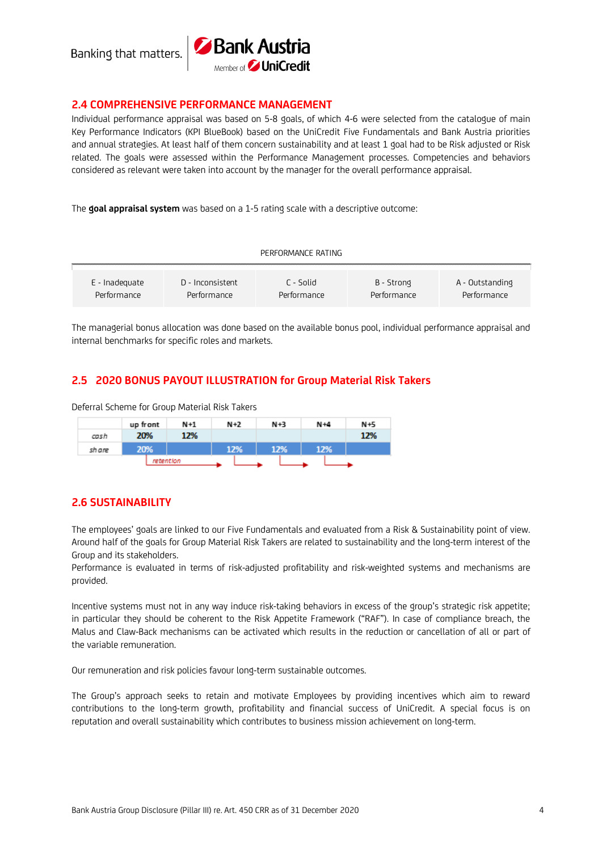Banking that matters.



### **2.4 COMPREHENSIVE PERFORMANCE MANAGEMENT**

Individual performance appraisal was based on 5-8 goals, of which 4-6 were selected from the catalogue of main Key Performance Indicators (KPI BlueBook) based on the UniCredit Five Fundamentals and Bank Austria priorities and annual strategies. At least half of them concern sustainability and at least 1 goal had to be Risk adjusted or Risk related. The goals were assessed within the Performance Management processes. Competencies and behaviors considered as relevant were taken into account by the manager for the overall performance appraisal.

The **goal appraisal system** was based on a 1-5 rating scale with a descriptive outcome:

| PERFORMANCE RATING |                  |             |             |                 |  |  |  |  |  |
|--------------------|------------------|-------------|-------------|-----------------|--|--|--|--|--|
|                    |                  |             |             |                 |  |  |  |  |  |
| E - Inadeguate     | D - Inconsistent | C - Solid   | B - Strong  | A - Outstanding |  |  |  |  |  |
| Performance        | Performance      | Performance | Performance | Performance     |  |  |  |  |  |

The managerial bonus allocation was done based on the available bonus pool, individual performance appraisal and internal benchmarks for specific roles and markets.

### **2.5 2020 BONUS PAYOUT ILLUSTRATION for Group Material Risk Takers**

Deferral Scheme for Group Material Risk Takers

|        | up front |           | $N+2$<br>$N+1$ |  |     | $N+3$ |     | $N+4$ |     | N+5 |     |
|--------|----------|-----------|----------------|--|-----|-------|-----|-------|-----|-----|-----|
| cash   | 20%      |           | 12%            |  |     |       |     |       |     |     | 12% |
| sh are | 20%      |           |                |  | 12% |       | 12% |       | 12% |     |     |
|        |          | retention |                |  |     |       |     |       |     |     |     |

### **2.6 SUSTAINABILITY**

The employees' goals are linked to our Five Fundamentals and evaluated from a Risk & Sustainability point of view. Around half of the goals for Group Material Risk Takers are related to sustainability and the long-term interest of the Group and its stakeholders.

Performance is evaluated in terms of risk-adjusted profitability and risk-weighted systems and mechanisms are provided.

Incentive systems must not in any way induce risk-taking behaviors in excess of the group's strategic risk appetite; in particular they should be coherent to the Risk Appetite Framework ("RAF"). In case of compliance breach, the Malus and Claw-Back mechanisms can be activated which results in the reduction or cancellation of all or part of the variable remuneration.

Our remuneration and risk policies favour long-term sustainable outcomes.

The Group's approach seeks to retain and motivate Employees by providing incentives which aim to reward contributions to the long-term growth, profitability and financial success of UniCredit. A special focus is on reputation and overall sustainability which contributes to business mission achievement on long-term.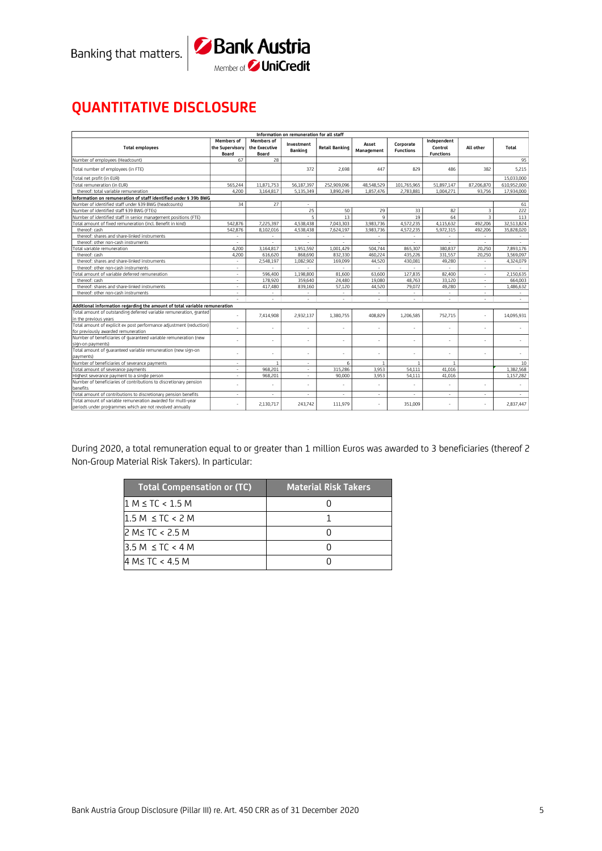



# **QUANTITATIVE DISCLOSURE**

| Information on remuneration for all staff                                                                                |                                               |                                             |                       |                       |                          |                               |                                            |                |             |  |  |  |
|--------------------------------------------------------------------------------------------------------------------------|-----------------------------------------------|---------------------------------------------|-----------------------|-----------------------|--------------------------|-------------------------------|--------------------------------------------|----------------|-------------|--|--|--|
| <b>Total employees</b>                                                                                                   | <b>Members of</b><br>the Supervisory<br>Board | <b>Members of</b><br>the Executive<br>Board | Investment<br>Banking | <b>Retail Banking</b> | Asset<br>Management      | Corporate<br><b>Functions</b> | Independent<br>Control<br><b>Functions</b> | All other      | Total       |  |  |  |
| Number of employees (Headcount)                                                                                          | 67                                            | 28                                          |                       |                       |                          |                               |                                            |                | 95          |  |  |  |
| Total number of employees (in FTE)                                                                                       |                                               |                                             | 372                   | 2,698                 | 447                      | 829                           | 486                                        | 382            | 5,215       |  |  |  |
| Total net profit (in EUR)                                                                                                |                                               |                                             |                       |                       |                          |                               |                                            |                | 15,033,000  |  |  |  |
| Total remuneration (in EUR)                                                                                              | 565,244                                       | 11.871.753                                  | 56,187,397            | 252,909,096           | 48,548,529               | 101,765,965                   | 51.897.147                                 | 87,206,870     | 610,952,000 |  |  |  |
| thereof: total variable remuneration                                                                                     | 4,200                                         | 3,164,817                                   | 5,135,349             | 3,890,249             | 1,857,476                | 2,783,881                     | 1.004.271                                  | 93.756         | 17,934,000  |  |  |  |
| Information on remuneration of staff identified under § 39b BWG                                                          |                                               |                                             |                       |                       |                          |                               |                                            |                |             |  |  |  |
| Number of identified staff under §39 BWG (headcounts)                                                                    | 34                                            | 27                                          |                       |                       |                          |                               |                                            |                | 61          |  |  |  |
| Number of identified staff §39 BWG (FTEs)                                                                                |                                               |                                             | 25                    | 50                    | 29                       | 33                            | 82                                         | 3              | 222         |  |  |  |
| Number of identified staff in senior management positions (FTE)                                                          |                                               |                                             | 5                     | 13                    | $\mathbf{Q}$             | 19                            | 64                                         | $\overline{3}$ | 113         |  |  |  |
| Total amount of fixed remuneration (incl. Benefit in kind)                                                               | 542.876                                       | 7.225.397                                   | 4.538.438             | 7.043.303             | 3.983.736                | 4.572.235                     | 4.115.632                                  | 492.206        | 32.513.824  |  |  |  |
| thereof: cash                                                                                                            | 542.876                                       | 8.102.016                                   | 4,538,438             | 7,624,197             | 3.983.736                | 4,572,235                     | 5.972.315                                  | 492.206        | 35.828.020  |  |  |  |
| thereof: shares and share-linked instruments                                                                             | $\sim$                                        | ÷                                           | ×,                    | ٠                     | $\sim$                   | $\mathcal{L}_{\mathcal{A}}$   | ÷                                          | ä,             | $\sim$      |  |  |  |
| thereof: other non-cash instruments                                                                                      |                                               |                                             |                       |                       |                          |                               |                                            |                |             |  |  |  |
| Total variable remuneration                                                                                              | 4.200                                         | 3.164.817                                   | 1,951,592             | 1,001,429             | 504.744                  | 865,307                       | 380.837                                    | 20,250         | 7.893.176   |  |  |  |
| thereof: cash                                                                                                            | 4,200                                         | 616,620                                     | 868,690               | 832,330               | 460.224                  | 435,226                       | 331,557                                    | 20,250         | 3,569,097   |  |  |  |
| thereof: shares and share-linked instruments                                                                             |                                               | 2,548,197                                   | 1,082,902             | 169,099               | 44,520                   | 430,081                       | 49.280                                     |                | 4,324,079   |  |  |  |
| thereof: other non-cash instruments                                                                                      | $\sim$                                        | $\sim$                                      | $\sim$                | $\sim$                | $\sim$                   | $\sim$                        | $\sim$                                     | $\sim$         | a.          |  |  |  |
| Total amount of variable deferred remuneration                                                                           | $\sim$                                        | 596,400                                     | 1,198,800             | 81,600                | 63,600                   | 127,835                       | 82,400                                     | ٠              | 2.150.635   |  |  |  |
| thereof: cash                                                                                                            | ٠                                             | 178,920                                     | 359,640               | 24,480                | 19,080                   | 48.763                        | 33.120                                     | ÷.             | 664,003     |  |  |  |
| thereof: shares and share-linked instruments                                                                             | $\sim$                                        | 417,480                                     | 839,160               | 57,120                | 44,520                   | 79,072                        | 49.280                                     | ÷              | 1,486,632   |  |  |  |
| thereof: other non-cash instruments                                                                                      |                                               |                                             |                       |                       | ٠                        |                               |                                            |                |             |  |  |  |
|                                                                                                                          | $\sim$                                        | ÷                                           | ×,                    | ÷,                    | $\overline{\phantom{a}}$ | $\mathcal{L}_{\mathcal{A}}$   | ×.                                         | ÷.             | $\sim$      |  |  |  |
| Additional information regarding the amount of total variable remuneration                                               |                                               |                                             |                       |                       |                          |                               |                                            |                |             |  |  |  |
| Total amount of outstanding deferred variable remuneration, granted<br>in the previous years                             |                                               | 7,414,908                                   | 2.932.137             | 1,380,755             | 408.829                  | 1,206,585                     | 752.715                                    |                | 14,095,931  |  |  |  |
| Total amount of explicit ex post performance adjustment (reduction)<br>for previously awarded remuneration               | ٠                                             |                                             |                       | ä,                    | ×,                       | ä,                            |                                            | ×,             |             |  |  |  |
| Number of beneficiaries of guaranteed variable remuneration (new                                                         |                                               |                                             |                       | ä,                    | ٠                        |                               |                                            |                |             |  |  |  |
| sign-on payments)<br>Total amount of guaranteed variable remuneration (new sign-on                                       |                                               |                                             |                       | ä,                    | ×,                       | ٠                             |                                            |                |             |  |  |  |
| payments)                                                                                                                |                                               |                                             |                       |                       |                          |                               |                                            |                |             |  |  |  |
| Number of beneficiaries of severance payments                                                                            |                                               | $\mathbf{1}$                                | ÷.                    | 6                     |                          | $\overline{1}$                | $\overline{1}$                             |                | 10          |  |  |  |
| Total amount of severance payments                                                                                       | ÷                                             | 968,201                                     | ÷                     | 315,286               | 3.953                    | 54.111                        | 41.016                                     |                | 1,382,568   |  |  |  |
| Highest severance payment to a single person                                                                             | $\sim$                                        | 968,201                                     | $\sim$                | 90.000                | 3,953                    | 54,111                        | 41.016                                     |                | 1,157,282   |  |  |  |
| Number of beneficiaries of contributions to discretionary pension<br>benefits                                            |                                               |                                             |                       |                       | ä,                       |                               |                                            |                |             |  |  |  |
| Total amount of contributions to discretionary pension benefits                                                          | $\sim$                                        | $\overline{\phantom{a}}$                    | ÷                     | $\mathbf{r}$          | $\mathbf{r}$             | $\mathcal{L}_{\mathcal{A}}$   | ٠                                          | ÷              | $\sim$      |  |  |  |
| Total amount of variable remuneration awarded for multi-year<br>periods under programmes which are not revolved annually |                                               | 2.130.717                                   | 243,742               | 111.979               | ÷.                       | 351.009                       |                                            |                | 2,837,447   |  |  |  |

During 2020, a total remuneration equal to or greater than 1 million Euros was awarded to 3 beneficiaries (thereof 2 Non-Group Material Risk Takers). In particular:

| <b>Total Compensation or (TC)</b> | <b>Material Risk Takers</b> |
|-----------------------------------|-----------------------------|
| $1 M \le TC < 1.5 M$              |                             |
| $1.5 M \le TC < 2 M$              |                             |
| 2 M≤ TC < 2.5 M                   |                             |
| $3.5 M \le TC < 4 M$              |                             |
| $4 M \le TC < 4.5 M$              |                             |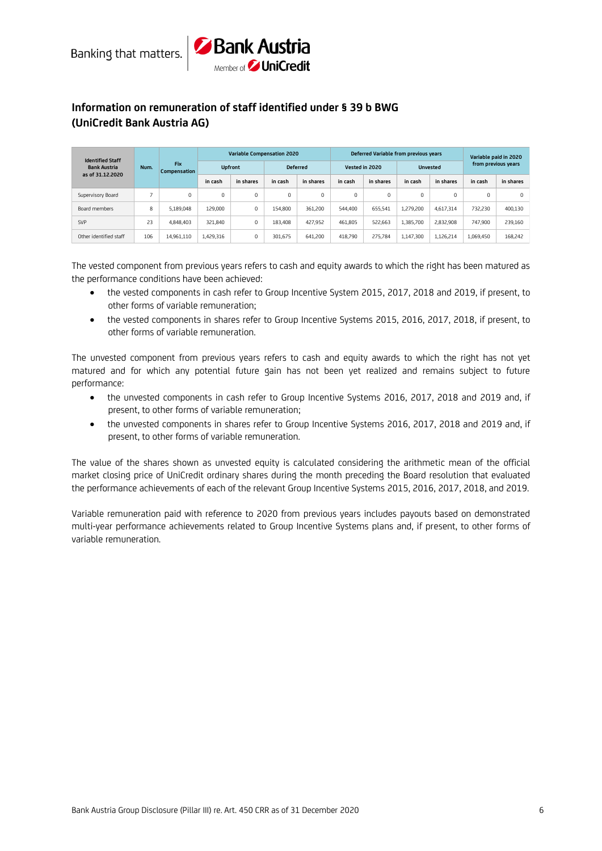



## **Information on remuneration of staff identified under § 39 b BWG (UniCredit Bank Austria AG)**

| <b>Identified Staff</b>                                       |                     |                |           | <b>Variable Compensation 2020</b> |           |                |             |                 | Deferred Variable from previous years |                     |           | Variable paid in 2020 |
|---------------------------------------------------------------|---------------------|----------------|-----------|-----------------------------------|-----------|----------------|-------------|-----------------|---------------------------------------|---------------------|-----------|-----------------------|
| <b>Fix</b><br><b>Bank Austria</b><br>Num.<br>as of 31.12.2020 | <b>Compensation</b> | <b>Upfront</b> |           | <b>Deferred</b>                   |           | Vested in 2020 |             | <b>Unvested</b> |                                       | from previous years |           |                       |
|                                                               |                     | in cash        | in shares | in cash                           | in shares | in cash        | in shares   | in cash         | in shares                             | in cash             | in shares |                       |
| Supervisory Board                                             |                     | 0              | 0         | 0                                 | $\Omega$  | 0              | $\mathbf 0$ | $\Omega$        | $\Omega$                              | $\Omega$            |           | 0                     |
| Board members                                                 | 8                   | 5.189.048      | 129,000   | 0                                 | 154,800   | 361,200        | 544,400     | 655.541         | 1,279,200                             | 4.617.314           | 732,230   | 400.130               |
| SVP                                                           | 23                  | 4.848.403      | 321.840   | 0                                 | 183,408   | 427.952        | 461.805     | 522.663         | 1.385.700                             | 2.832.908           | 747,900   | 239,160               |
| Other identified staff                                        | 106                 | 14.961.110     | 1,429,316 | 0                                 | 301.675   | 641,200        | 418.790     | 275,784         | 1,147,300                             | 1.126.214           | 1.069.450 | 168,242               |

The vested component from previous years refers to cash and equity awards to which the right has been matured as the performance conditions have been achieved:

- the vested components in cash refer to Group Incentive System 2015, 2017, 2018 and 2019, if present, to other forms of variable remuneration;
- the vested components in shares refer to Group Incentive Systems 2015, 2016, 2017, 2018, if present, to other forms of variable remuneration.

The unvested component from previous years refers to cash and equity awards to which the right has not yet matured and for which any potential future gain has not been yet realized and remains subject to future performance:

- the unvested components in cash refer to Group Incentive Systems 2016, 2017, 2018 and 2019 and, if present, to other forms of variable remuneration;
- the unvested components in shares refer to Group Incentive Systems 2016, 2017, 2018 and 2019 and, if present, to other forms of variable remuneration.

The value of the shares shown as unvested equity is calculated considering the arithmetic mean of the official market closing price of UniCredit ordinary shares during the month preceding the Board resolution that evaluated the performance achievements of each of the relevant Group Incentive Systems 2015, 2016, 2017, 2018, and 2019.

Variable remuneration paid with reference to 2020 from previous years includes payouts based on demonstrated multi-year performance achievements related to Group Incentive Systems plans and, if present, to other forms of variable remuneration.